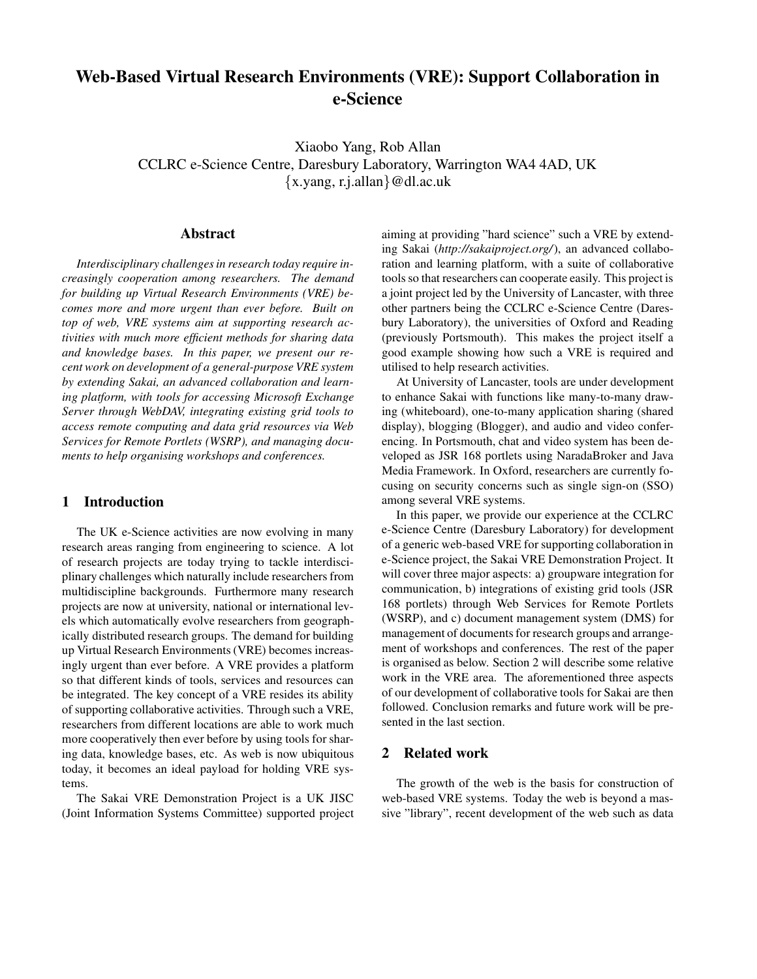# **Web-Based Virtual Research Environments (VRE): Support Collaboration in e-Science**

Xiaobo Yang, Rob Allan CCLRC e-Science Centre, Daresbury Laboratory, Warrington WA4 4AD, UK {x.yang, r.j.allan}@dl.ac.uk

#### **Abstract**

*Interdisciplinary challengesin research today require increasingly cooperation among researchers. The demand for building up Virtual Research Environments (VRE) becomes more and more urgent than ever before. Built on top of web, VRE systems aim at supporting research activities with much more efficient methods for sharing data and knowledge bases. In this paper, we present our recent work on development of a general-purpose VRE system by extending Sakai, an advanced collaboration and learning platform, with tools for accessing Microsoft Exchange Server through WebDAV, integrating existing grid tools to access remote computing and data grid resources via Web Services for Remote Portlets (WSRP), and managing documents to help organising workshops and conferences.*

#### **1 Introduction**

The UK e-Science activities are now evolving in many research areas ranging from engineering to science. A lot of research projects are today trying to tackle interdisciplinary challenges which naturally include researchers from multidiscipline backgrounds. Furthermore many research projects are now at university, national or international levels which automatically evolve researchers from geographically distributed research groups. The demand for building up Virtual Research Environments (VRE) becomes increasingly urgent than ever before. A VRE provides a platform so that different kinds of tools, services and resources can be integrated. The key concept of a VRE resides its ability of supporting collaborative activities. Through such a VRE, researchers from different locations are able to work much more cooperatively then ever before by using tools for sharing data, knowledge bases, etc. As web is now ubiquitous today, it becomes an ideal payload for holding VRE systems.

The Sakai VRE Demonstration Project is a UK JISC (Joint Information Systems Committee) supported project aiming at providing "hard science" such a VRE by extending Sakai (*http://sakaiproject.org/*), an advanced collaboration and learning platform, with a suite of collaborative tools so that researchers can cooperate easily. This project is a joint project led by the University of Lancaster, with three other partners being the CCLRC e-Science Centre (Daresbury Laboratory), the universities of Oxford and Reading (previously Portsmouth). This makes the project itself a good example showing how such a VRE is required and utilised to help research activities.

At University of Lancaster, tools are under development to enhance Sakai with functions like many-to-many drawing (whiteboard), one-to-many application sharing (shared display), blogging (Blogger), and audio and video conferencing. In Portsmouth, chat and video system has been developed as JSR 168 portlets using NaradaBroker and Java Media Framework. In Oxford, researchers are currently focusing on security concerns such as single sign-on (SSO) among several VRE systems.

In this paper, we provide our experience at the CCLRC e-Science Centre (Daresbury Laboratory) for development of a generic web-based VRE for supporting collaboration in e-Science project, the Sakai VRE Demonstration Project. It will cover three major aspects: a) groupware integration for communication, b) integrations of existing grid tools (JSR 168 portlets) through Web Services for Remote Portlets (WSRP), and c) document management system (DMS) for management of documents for research groups and arrangement of workshops and conferences. The rest of the paper is organised as below. Section 2 will describe some relative work in the VRE area. The aforementioned three aspects of our development of collaborative tools for Sakai are then followed. Conclusion remarks and future work will be presented in the last section.

#### **2 Related work**

The growth of the web is the basis for construction of web-based VRE systems. Today the web is beyond a massive "library", recent development of the web such as data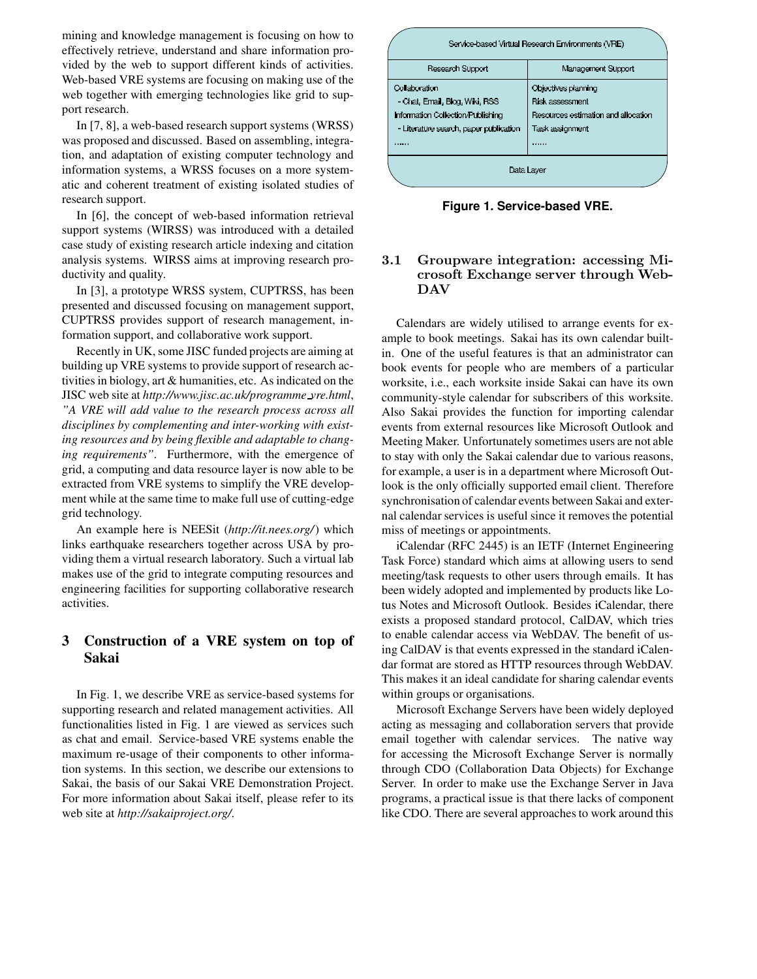mining and knowledge management is focusing on how to effectively retrieve, understand and share information provided by the web to support different kinds of activities. Web-based VRE systems are focusing on making use of the web together with emerging technologies like grid to support research.

In [7, 8], a web-based research support systems (WRSS) was proposed and discussed. Based on assembling, integration, and adaptation of existing computer technology and information systems, a WRSS focuses on a more systematic and coherent treatment of existing isolated studies of research support.

In [6], the concept of web-based information retrieval support systems (WIRSS) was introduced with a detailed case study of existing research article indexing and citation analysis systems. WIRSS aims at improving research productivity and quality.

In [3], a prototype WRSS system, CUPTRSS, has been presented and discussed focusing on management support, CUPTRSS provides support of research management, information support, and collaborative work support.

Recently in UK, some JISC funded projects are aiming at building up VRE systems to provide support of research activities in biology, art & humanities, etc. As indicated on the JISC web site at *http://www.jisc.ac.uk/programme vre.html*, *"A VRE will add value to the research process across all disciplines by complementing and inter-working with existing resources and by being flexible and adaptable to changing requirements"*. Furthermore, with the emergence of grid, a computing and data resource layer is now able to be extracted from VRE systems to simplify the VRE development while at the same time to make full use of cutting-edge grid technology.

An example here is NEESit (*http://it.nees.org/*) which links earthquake researchers together across USA by providing them a virtual research laboratory. Such a virtual lab makes use of the grid to integrate computing resources and engineering facilities for supporting collaborative research activities.

## **3 Construction of a VRE system on top of Sakai**

In Fig. 1, we describe VRE as service-based systems for supporting research and related management activities. All functionalities listed in Fig. 1 are viewed as services such as chat and email. Service-based VRE systems enable the maximum re-usage of their components to other information systems. In this section, we describe our extensions to Sakai, the basis of our Sakai VRE Demonstration Project. For more information about Sakai itself, please refer to its web site at *http://sakaiproject.org/*.



**Figure 1. Service-based VRE.**

#### 3.1 Groupware integration: accessing Microsoft Exchange server through Web-DAV

Calendars are widely utilised to arrange events for example to book meetings. Sakai has its own calendar builtin. One of the useful features is that an administrator can book events for people who are members of a particular worksite, i.e., each worksite inside Sakai can have its own community-style calendar for subscribers of this worksite. Also Sakai provides the function for importing calendar events from external resources like Microsoft Outlook and Meeting Maker. Unfortunately sometimes users are not able to stay with only the Sakai calendar due to various reasons, for example, a user is in a department where Microsoft Outlook is the only officially supported email client. Therefore synchronisation of calendar events between Sakai and external calendar services is useful since it removes the potential miss of meetings or appointments.

iCalendar (RFC 2445) is an IETF (Internet Engineering Task Force) standard which aims at allowing users to send meeting/task requests to other users through emails. It has been widely adopted and implemented by products like Lotus Notes and Microsoft Outlook. Besides iCalendar, there exists a proposed standard protocol, CalDAV, which tries to enable calendar access via WebDAV. The benefit of using CalDAV is that events expressed in the standard iCalendar format are stored as HTTP resources through WebDAV. This makes it an ideal candidate for sharing calendar events within groups or organisations.

Microsoft Exchange Servers have been widely deployed acting as messaging and collaboration servers that provide email together with calendar services. The native way for accessing the Microsoft Exchange Server is normally through CDO (Collaboration Data Objects) for Exchange Server. In order to make use the Exchange Server in Java programs, a practical issue is that there lacks of component like CDO. There are several approaches to work around this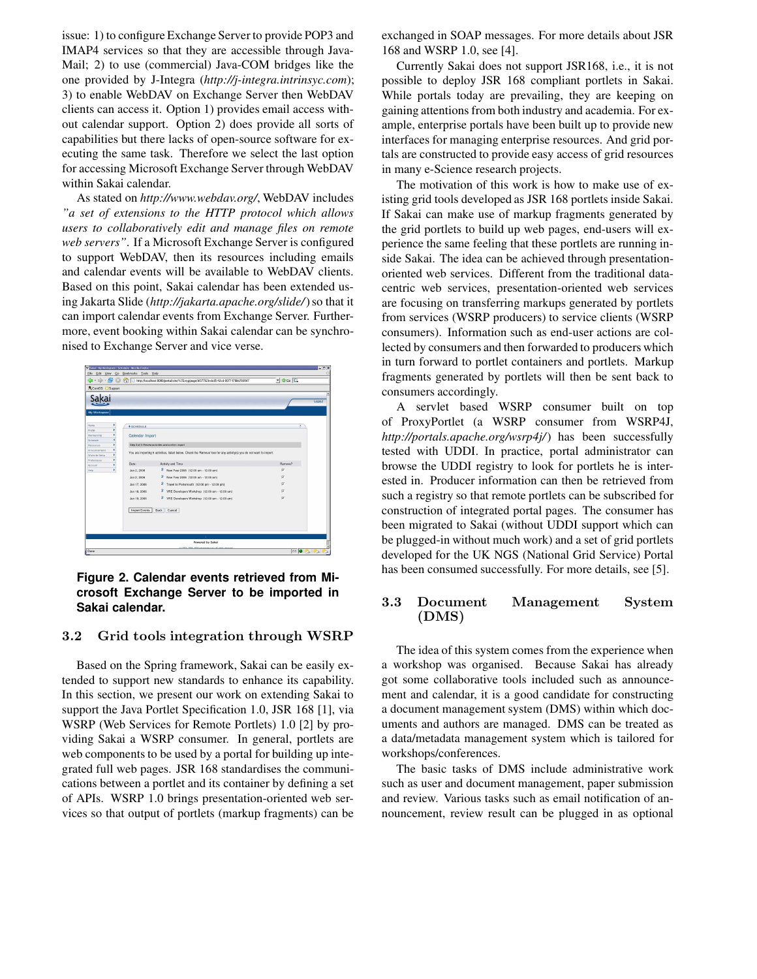issue: 1) to configure Exchange Server to provide POP3 and IMAP4 services so that they are accessible through Java-Mail; 2) to use (commercial) Java-COM bridges like the one provided by J-Integra (*http://j-integra.intrinsyc.com*); 3) to enable WebDAV on Exchange Server then WebDAV clients can access it. Option 1) provides email access without calendar support. Option 2) does provide all sorts of capabilities but there lacks of open-source software for executing the same task. Therefore we select the last option for accessing Microsoft Exchange Server through WebDAV within Sakai calendar.

As stated on *http://www.webdav.org/*, WebDAV includes *"a set of extensions to the HTTP protocol which allows users to collaboratively edit and manage files on remote web servers"*. If a Microsoft Exchange Server is configured to support WebDAV, then its resources including emails and calendar events will be available to WebDAV clients. Based on this point, Sakai calendar has been extended using Jakarta Slide (*http://jakarta.apache.org/slide/*)so that it can import calendar events from Exchange Server. Furthermore, event booking within Sakai calendar can be synchronised to Exchange Server and vice verse.



#### **Figure 2. Calendar events retrieved from Microsoft Exchange Server to be imported in Sakai calendar.**

#### 3.2 Grid tools integration through WSRP

Based on the Spring framework, Sakai can be easily extended to support new standards to enhance its capability. In this section, we present our work on extending Sakai to support the Java Portlet Specification 1.0, JSR 168 [1], via WSRP (Web Services for Remote Portlets) 1.0 [2] by providing Sakai a WSRP consumer. In general, portlets are web components to be used by a portal for building up integrated full web pages. JSR 168 standardises the communications between a portlet and its container by defining a set of APIs. WSRP 1.0 brings presentation-oriented web services so that output of portlets (markup fragments) can be

exchanged in SOAP messages. For more details about JSR 168 and WSRP 1.0, see [4].

Currently Sakai does not support JSR168, i.e., it is not possible to deploy JSR 168 compliant portlets in Sakai. While portals today are prevailing, they are keeping on gaining attentions from both industry and academia. For example, enterprise portals have been built up to provide new interfaces for managing enterprise resources. And grid portals are constructed to provide easy access of grid resources in many e-Science research projects.

The motivation of this work is how to make use of existing grid tools developed as JSR 168 portlets inside Sakai. If Sakai can make use of markup fragments generated by the grid portlets to build up web pages, end-users will experience the same feeling that these portlets are running inside Sakai. The idea can be achieved through presentationoriented web services. Different from the traditional datacentric web services, presentation-oriented web services are focusing on transferring markups generated by portlets from services (WSRP producers) to service clients (WSRP consumers). Information such as end-user actions are collected by consumers and then forwarded to producers which in turn forward to portlet containers and portlets. Markup fragments generated by portlets will then be sent back to consumers accordingly.

A servlet based WSRP consumer built on top of ProxyPortlet (a WSRP consumer from WSRP4J, *http://portals.apache.org/wsrp4j/*) has been successfully tested with UDDI. In practice, portal administrator can browse the UDDI registry to look for portlets he is interested in. Producer information can then be retrieved from such a registry so that remote portlets can be subscribed for construction of integrated portal pages. The consumer has been migrated to Sakai (without UDDI support which can be plugged-in without much work) and a set of grid portlets developed for the UK NGS (National Grid Service) Portal has been consumed successfully. For more details, see [5].

#### 3.3 Document Management System (DMS)

The idea of this system comes from the experience when a workshop was organised. Because Sakai has already got some collaborative tools included such as announcement and calendar, it is a good candidate for constructing a document management system (DMS) within which documents and authors are managed. DMS can be treated as a data/metadata management system which is tailored for workshops/conferences.

The basic tasks of DMS include administrative work such as user and document management, paper submission and review. Various tasks such as email notification of announcement, review result can be plugged in as optional